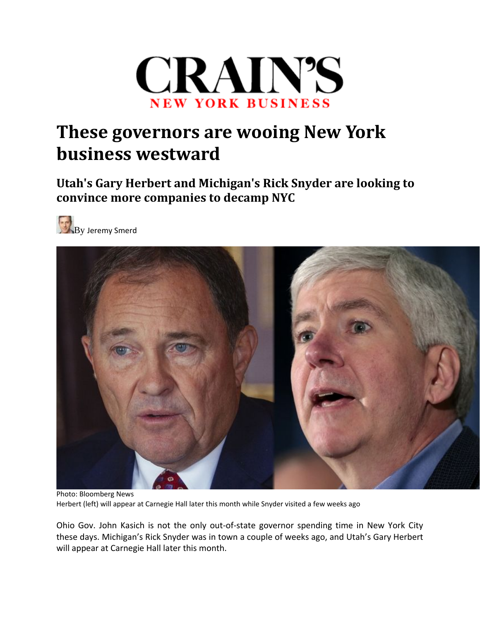

## **These governors are wooing New York business westward**

**Utah's Gary Herbert and Michigan's Rick Snyder are looking to convince more companies to decamp NYC**





Photo: Bloomberg News Herbert (left) will appear at Carnegie Hall later this month while Snyder visited a few weeks ago

Ohio Gov. John Kasich is not the only out‐of‐state governor spending time in New York City these days. Michigan's Rick Snyder was in town a couple of weeks ago, and Utah's Gary Herbert will appear at Carnegie Hall later this month.